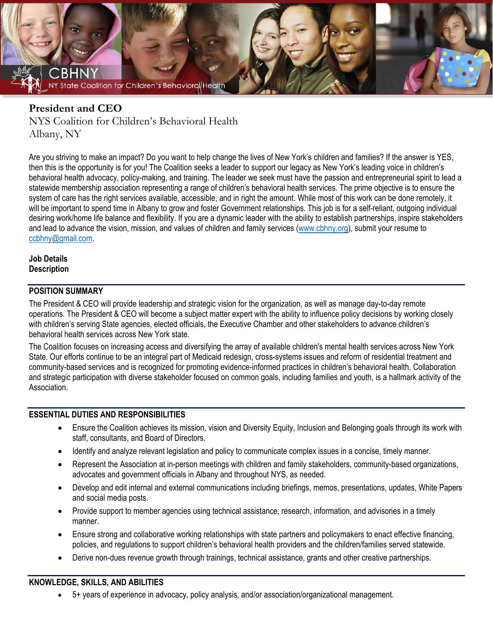

# **President and CEO**

NYS Coalition for Children's Behavioral Health Albany, NY

Are you striving to make an impact? Do you want to help change the lives of New York's children and families? If the answer is YES, then this is the opportunity is for you! The Coalition seeks a leader to support our legacy as New York's leading voice in children's behavioral health advocacy, policy-making, and training. The leader we seek must have the passion and entrepreneurial spirit to lead a statewide membership association representing a range of children's behavioral health services. The prime objective is to ensure the system of care has the right services available, accessible, and in right the amount. While most of this work can be done remotely, it will be important to spend time in Albany to grow and foster Government relationships. This job is for a self-reliant, outgoing individual desiring work/home life balance and flexibility. If you are a dynamic leader with the ability to establish partnerships, inspire stakeholders and lead to advance the vision, mission, and values of children and family services [\(www.cbhny.org\)](http://www.cbhny.org/), submit your resume to [ccbhny@gmail.com.](mailto:ccbhny@gmail.com)

#### **Job Details Description**

## **POSITION SUMMARY**

The President & CEO will provide leadership and strategic vision for the organization, as well as manage day-to-day remote operations. The President & CEO will become a subject matter expert with the ability to influence policy decisions by working closely with children's serving State agencies, elected officials, the Executive Chamber and other stakeholders to advance children's behavioral health services across New York state.

The Coalition focuses on increasing access and diversifying the array of available children's mental health services across New York State. Our efforts continue to be an integral part of Medicaid redesign, cross-systems issues and reform of residential treatment and community-based services and is recognized for promoting evidence-informed practices in children's behavioral health. Collaboration and strategic participation with diverse stakeholder focused on common goals, including families and youth, is a hallmark activity of the **Association** 

#### **ESSENTIAL DUTIES AND RESPONSIBILITIES**

- Ensure the Coalition achieves its mission, vision and Diversity Equity, Inclusion and Belonging goals through its work with staff, consultants, and Board of Directors.
- Identify and analyze relevant legislation and policy to communicate complex issues in a concise, timely manner.
- Represent the Association at in-person meetings with children and family stakeholders, community-based organizations, advocates and government officials in Albany and throughout NYS, as needed.
- Develop and edit internal and external communications including briefings, memos, presentations, updates, White Papers and social media posts.
- Provide support to member agencies using technical assistance, research, information, and advisories in a timely manner.
- Ensure strong and collaborative working relationships with state partners and policymakers to enact effective financing, policies, and regulations to support children's behavioral health providers and the children/families served statewide.
- Derive non-dues revenue growth through trainings, technical assistance, grants and other creative partnerships.

#### **KNOWLEDGE, SKILLS, AND ABILITIES**

• 5+ years of experience in advocacy, policy analysis, and/or association/organizational management.